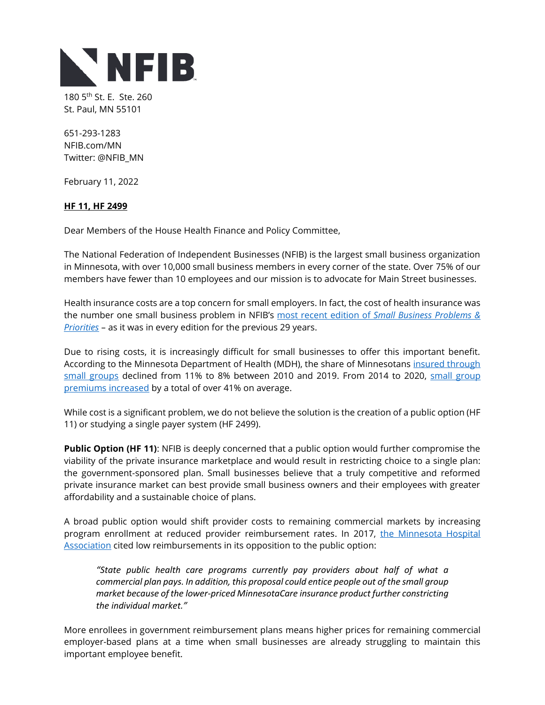

180 5<sup>th</sup> St. E. Ste. 260 St. Paul, MN 55101

651-293-1283 NFIB.com/MN Twitter: @NFIB\_MN

February 11, 2022

## **HF 11, HF 2499**

Dear Members of the House Health Finance and Policy Committee,

The National Federation of Independent Businesses (NFIB) is the largest small business organization in Minnesota, with over 10,000 small business members in every corner of the state. Over 75% of our members have fewer than 10 employees and our mission is to advocate for Main Street businesses.

Health insurance costs are a top concern for small employers. In fact, the cost of health insurance was the number one small business problem in NFIB's most recent edition of *[Small Business Problems &](https://assets.nfib.com/nfibcom/NFIB-Problems-and-Priorities-2020.pdf)  [Priorities](https://assets.nfib.com/nfibcom/NFIB-Problems-and-Priorities-2020.pdf)* – as it was in every edition for the previous 29 years.

Due to rising costs, it is increasingly difficult for small businesses to offer this important benefit. According to the Minnesota Department of Health (MDH), the share of Minnesotans [insured through](https://www.health.state.mn.us/data/economics/chartbook/docs/section2.pdf)  [small groups](https://www.health.state.mn.us/data/economics/chartbook/docs/section2.pdf) declined from 11% to 8% between 2010 and 2019. From 2014 to 2020, small group [premiums increased](https://www.health.state.mn.us/data/economics/chartbook/summaries/section4summaries.html) by a total of over 41% on average.

While cost is a significant problem, we do not believe the solution is the creation of a public option (HF 11) or studying a single payer system (HF 2499).

**Public Option (HF 11)**: NFIB is deeply concerned that a public option would further compromise the viability of the private insurance marketplace and would result in restricting choice to a single plan: the government-sponsored plan. Small businesses believe that a truly competitive and reformed private insurance market can best provide small business owners and their employees with greater affordability and a sustainable choice of plans.

A broad public option would shift provider costs to remaining commercial markets by increasing program enrollment at reduced provider reimbursement rates. In 2017, the Minnesota Hospital [Association](https://www.mnhospitals.org/Portals/0/Documents/policy-advocacy/Legislative%20priorities/2017%20Fact%20Sheet%20-%20MN%20hospital%20and%20health%20system%20priorities%20for%20the%202017%20legislative%20session.pdf) cited low reimbursements in its opposition to the public option:

*"State public health care programs currently pay providers about half of what a commercial plan pays. In addition, this proposal could entice people out of the small group market because of the lower-priced MinnesotaCare insurance product further constricting the individual market."*

More enrollees in government reimbursement plans means higher prices for remaining commercial employer-based plans at a time when small businesses are already struggling to maintain this important employee benefit.